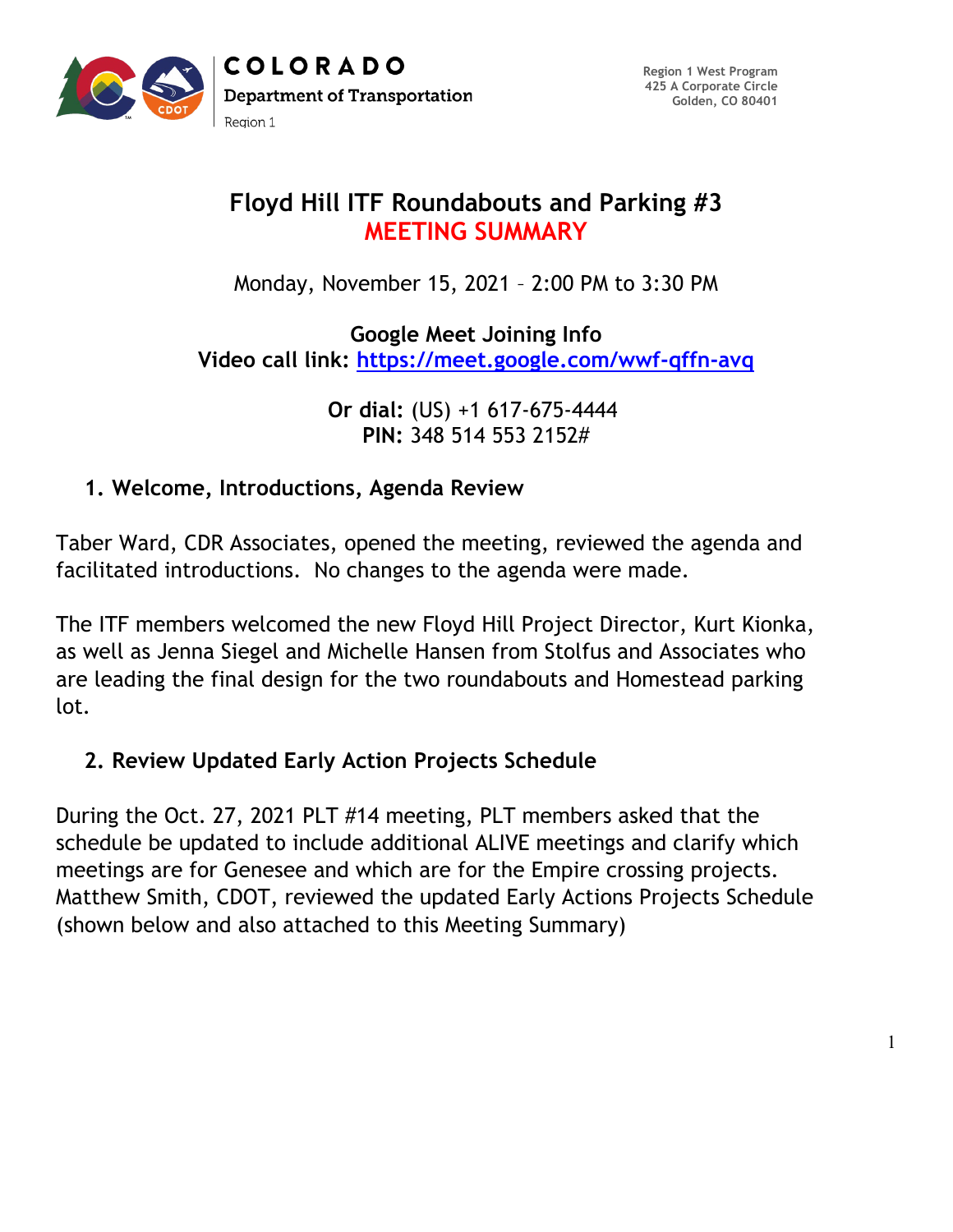

# **Floyd Hill ITF Roundabouts and Parking #3 MEETING SUMMARY**

Monday, November 15, 2021 – 2:00 PM to 3:30 PM

**Google Meet Joining Info Video call link:<https://meet.google.com/wwf-qffn-avq>**

> **Or dial:** (US) +1 617-675-4444 **PIN:** 348 514 553 2152#

#### **1. Welcome, Introductions, Agenda Review**

Taber Ward, CDR Associates, opened the meeting, reviewed the agenda and facilitated introductions. No changes to the agenda were made.

The ITF members welcomed the new Floyd Hill Project Director, Kurt Kionka, as well as Jenna Siegel and Michelle Hansen from Stolfus and Associates who are leading the final design for the two roundabouts and Homestead parking lot.

## **2. Review Updated Early Action Projects Schedule**

During the Oct. 27, 2021 PLT #14 meeting, PLT members asked that the schedule be updated to include additional ALIVE meetings and clarify which meetings are for Genesee and which are for the Empire crossing projects. Matthew Smith, CDOT, reviewed the updated Early Actions Projects Schedule (shown below and also attached to this Meeting Summary)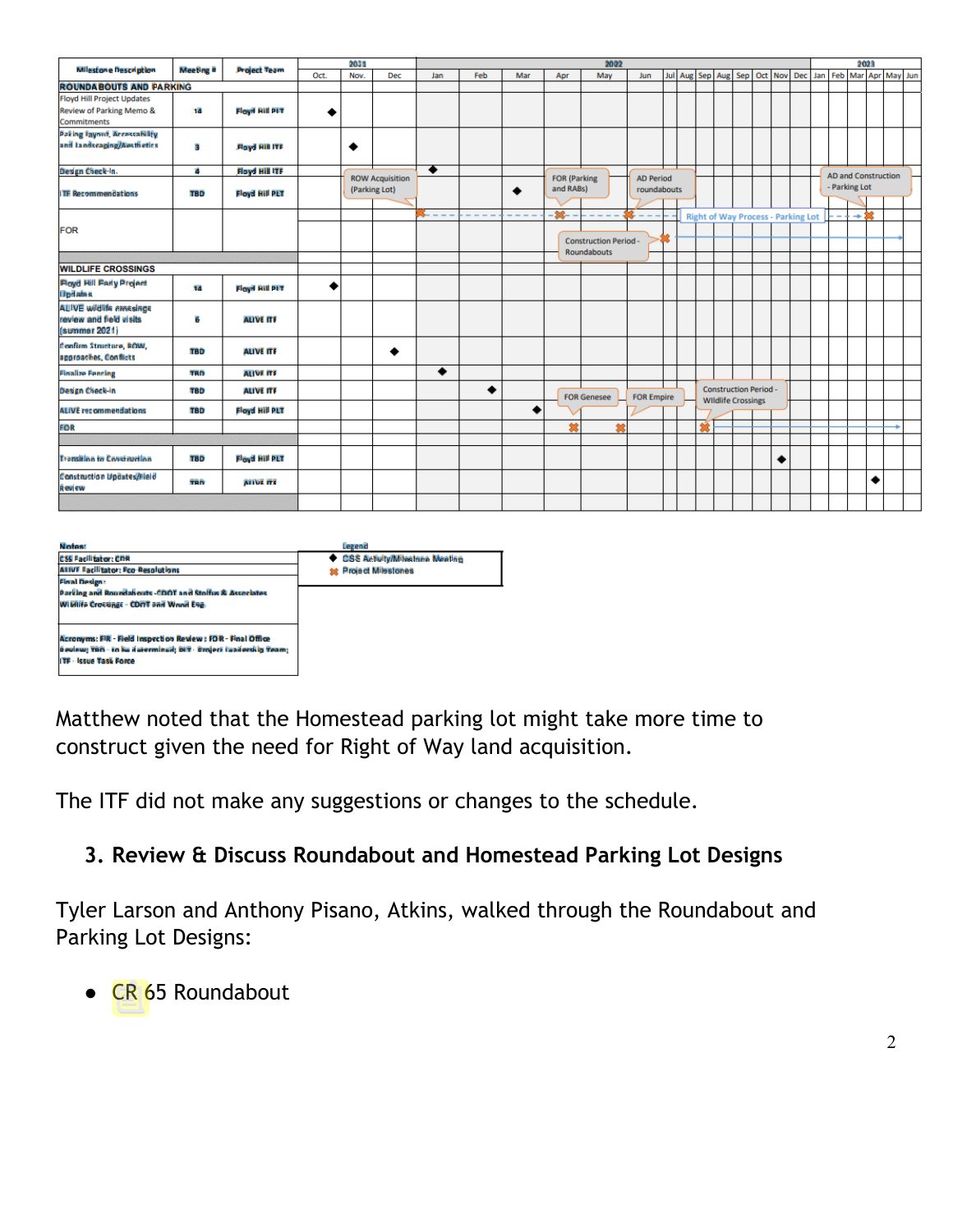|                                                                            | Meeting #  | <b>Project Team</b>   | 2021 |      |                                         | 2022<br>2023             |     |     |          |                                                                     |                   |    |  |                                           |  |                                                           |  |   |                                             |  |  |                         |   |  |  |
|----------------------------------------------------------------------------|------------|-----------------------|------|------|-----------------------------------------|--------------------------|-----|-----|----------|---------------------------------------------------------------------|-------------------|----|--|-------------------------------------------|--|-----------------------------------------------------------|--|---|---------------------------------------------|--|--|-------------------------|---|--|--|
| Milestone Description                                                      |            |                       | Oct. | Nov. | Dec                                     | Jan                      | Feb | Mar | Apr      | May                                                                 | Jun               |    |  | Jul Aug Sep Aug                           |  |                                                           |  |   | Sep Oct Nov Dec                             |  |  | Jan Feb Mar Apr May Jun |   |  |  |
| <b>ROUNDABOUTS AND PARKING</b>                                             |            |                       |      |      |                                         |                          |     |     |          |                                                                     |                   |    |  |                                           |  |                                                           |  |   |                                             |  |  |                         |   |  |  |
| <b>Floyd Hill Project Updates</b>                                          |            |                       |      |      |                                         |                          |     |     |          |                                                                     |                   |    |  |                                           |  |                                                           |  |   |                                             |  |  |                         |   |  |  |
| Review of Parking Memo &                                                   | 14         | <b>Floyd Hill PIT</b> |      |      |                                         |                          |     |     |          |                                                                     |                   |    |  |                                           |  |                                                           |  |   |                                             |  |  |                         |   |  |  |
| <b>Commitments</b>                                                         |            |                       |      |      |                                         |                          |     |     |          |                                                                     |                   |    |  |                                           |  |                                                           |  |   |                                             |  |  |                         |   |  |  |
| <b>Paking Tayout, Accessability</b>                                        |            |                       |      |      |                                         |                          |     |     |          |                                                                     |                   |    |  |                                           |  |                                                           |  |   |                                             |  |  |                         |   |  |  |
| and landscaping/Aesthetics                                                 | в          | <b>Floyd Hill ITF</b> |      | ٠    |                                         |                          |     |     |          |                                                                     |                   |    |  |                                           |  |                                                           |  |   |                                             |  |  |                         |   |  |  |
| Design Check-In.                                                           | đ.         | <b>Floyd Hill ITF</b> |      |      |                                         | ٠                        |     |     |          |                                                                     |                   |    |  |                                           |  |                                                           |  |   |                                             |  |  |                         |   |  |  |
| <b>ITE Recommendations</b>                                                 | <b>TBD</b> | <b>Floyd Hill PLT</b> |      |      | <b>ROW Acquisition</b><br>(Parking Lot) |                          |     | ٠   |          | <b>FOR (Parking</b><br><b>AD Period</b><br>and RABs)<br>roundabouts |                   |    |  |                                           |  |                                                           |  |   | <b>AD and Construction</b><br>- Parking Lot |  |  |                         |   |  |  |
|                                                                            |            |                       |      |      |                                         | $\overline{\phantom{a}}$ |     |     | -36-     |                                                                     |                   | ٠. |  | <b>Right of Way Process - Parking Lot</b> |  |                                                           |  |   |                                             |  |  | $+22$                   |   |  |  |
| <b>FOR</b>                                                                 |            |                       |      |      |                                         |                          |     |     |          |                                                                     |                   |    |  |                                           |  |                                                           |  |   |                                             |  |  |                         |   |  |  |
|                                                                            |            |                       |      |      |                                         |                          |     |     |          | <b>Construction Period-</b>                                         |                   |    |  |                                           |  |                                                           |  |   |                                             |  |  |                         |   |  |  |
|                                                                            |            |                       |      |      |                                         |                          |     |     |          | Roundabouts                                                         |                   |    |  |                                           |  |                                                           |  |   |                                             |  |  |                         |   |  |  |
| <b>WILDLIFE CROSSINGS</b>                                                  |            |                       |      |      |                                         |                          |     |     |          |                                                                     |                   |    |  |                                           |  |                                                           |  |   |                                             |  |  |                         |   |  |  |
| <b>Floyd Hill Farly Project</b><br><b>Updates</b>                          | 14         | Floyd Bill PIT        |      |      |                                         |                          |     |     |          |                                                                     |                   |    |  |                                           |  |                                                           |  |   |                                             |  |  |                         |   |  |  |
| <b>ALIVE wildlife amasings</b><br>review and field visits<br>(summer 2021) | 6          | <b>ALIVE ITE</b>      |      |      |                                         |                          |     |     |          |                                                                     |                   |    |  |                                           |  |                                                           |  |   |                                             |  |  |                         |   |  |  |
| fonfirm Structure, ROW,<br>approaches, Conflicts                           | <b>TBD</b> | <b>ALIVE ITE</b>      |      |      | ٠                                       |                          |     |     |          |                                                                     |                   |    |  |                                           |  |                                                           |  |   |                                             |  |  |                         |   |  |  |
| <b>Finalize Fencing</b>                                                    | <b>TRD</b> | <b>ALIVE ITE</b>      |      |      |                                         | ٠                        |     |     |          |                                                                     |                   |    |  |                                           |  |                                                           |  |   |                                             |  |  |                         |   |  |  |
| Design Check-in                                                            | <b>TBD</b> | <b>ALIVE ITE</b>      |      |      |                                         |                          | ٠   |     |          | <b>FOR Genesee</b>                                                  | <b>FOR Empire</b> |    |  |                                           |  | <b>Construction Period -</b><br><b>Wildlife Crossings</b> |  |   |                                             |  |  |                         |   |  |  |
| <b>ALIVE recommendations</b>                                               | <b>TBD</b> | <b>Floyd Hill PLT</b> |      |      |                                         |                          |     | ۰   |          |                                                                     |                   |    |  |                                           |  |                                                           |  |   |                                             |  |  |                         |   |  |  |
| FOR                                                                        |            |                       |      |      |                                         |                          |     |     | <b>M</b> | ٠                                                                   |                   |    |  | 蝮                                         |  |                                                           |  |   |                                             |  |  |                         |   |  |  |
|                                                                            |            |                       |      |      |                                         |                          |     |     |          |                                                                     |                   |    |  |                                           |  |                                                           |  |   |                                             |  |  |                         |   |  |  |
| <b>Transition to Construction</b>                                          | <b>TBD</b> | Floyd Hill PLT        |      |      |                                         |                          |     |     |          |                                                                     |                   |    |  |                                           |  |                                                           |  | ٠ |                                             |  |  |                         |   |  |  |
| Construction Updates/Field<br><b>Review</b>                                | TRD        | <b>ALIVE ITE</b>      |      |      |                                         |                          |     |     |          |                                                                     |                   |    |  |                                           |  |                                                           |  |   |                                             |  |  |                         | ٠ |  |  |
|                                                                            |            |                       |      |      |                                         |                          |     |     |          |                                                                     |                   |    |  |                                           |  |                                                           |  |   |                                             |  |  |                         |   |  |  |
|                                                                            |            |                       |      |      |                                         |                          |     |     |          |                                                                     |                   |    |  |                                           |  |                                                           |  |   |                                             |  |  |                         |   |  |  |

| <b>Notae:</b>                                                  | Legend                           |
|----------------------------------------------------------------|----------------------------------|
| <b>CSS Facilitator: CDR</b>                                    | ◆ CSS Activity/Milestane Meeting |
| <b>ALIVE Facilitator: Fco-Resolutions</b>                      | <b>st</b> Project Milestones     |
| <b>Final Design:</b>                                           |                                  |
| Parking and Roundabouts -CDOT and Stolfus & Associates         |                                  |
| Wildlife Crossings - CDOT and Wood Eng.                        |                                  |
|                                                                |                                  |
|                                                                |                                  |
| Acronyms: FIR - Field Inspection Review : FOR - Final Office   |                                  |
| Beview: TBD - to be determined: DIT - Broject Leaderskip Team; |                                  |
| <b>ITF - Issue Task Force</b>                                  |                                  |
|                                                                |                                  |
|                                                                |                                  |

Matthew noted that the Homestead parking lot might take more time to construct given the need for Right of Way land acquisition.

The ITF did not make any suggestions or changes to the schedule.

#### **3. Review & Discuss Roundabout and Homestead Parking Lot Designs**

Tyler Larson and Anthony Pisano, Atkins, walked through the Roundabout and Parking Lot Designs:

● CR 65 Roundabout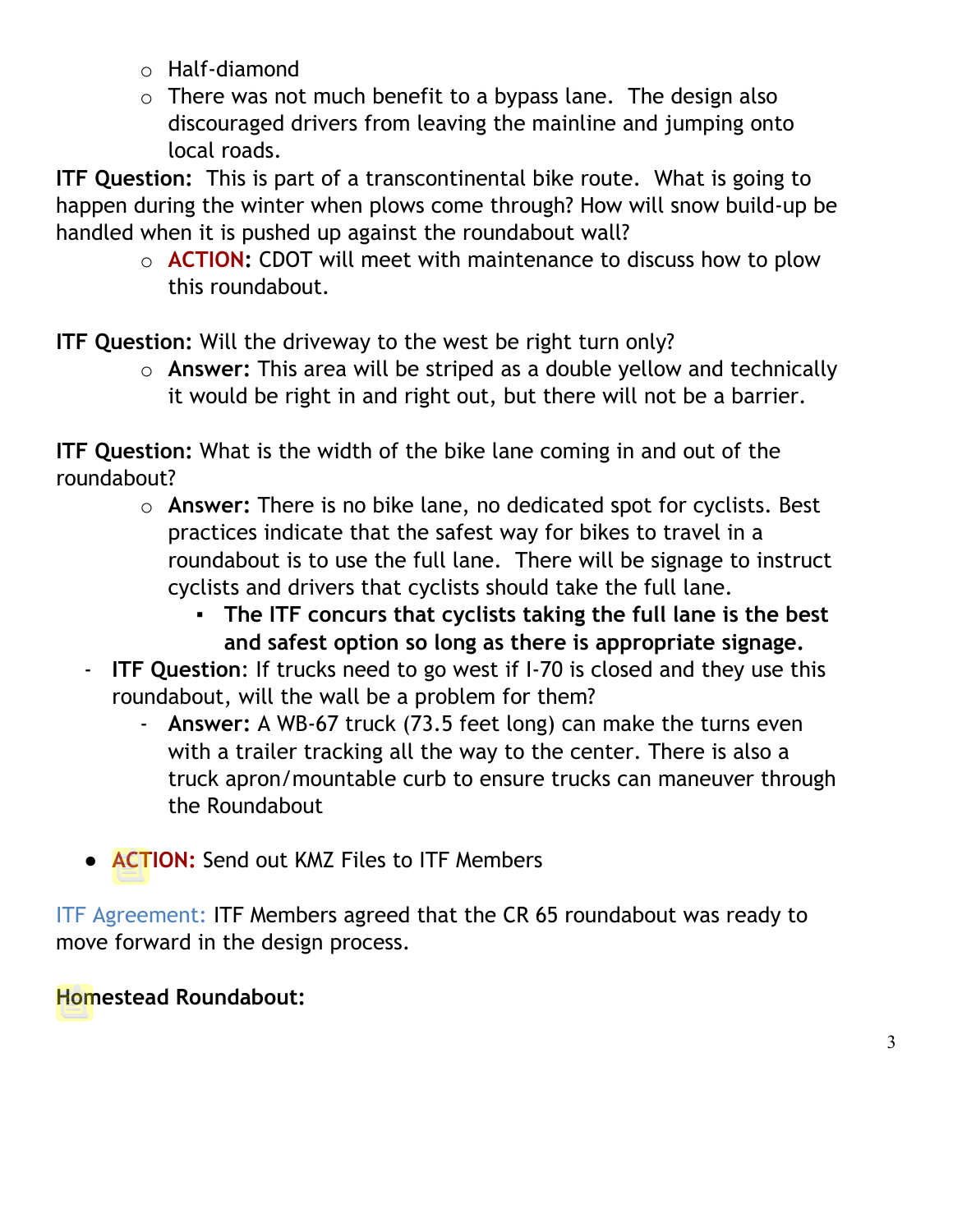- o Half-diamond
- $\circ$  There was not much benefit to a bypass lane. The design also discouraged drivers from leaving the mainline and jumping onto local roads.

**ITF Question:** This is part of a transcontinental bike route. What is going to happen during the winter when plows come through? How will snow build-up be handled when it is pushed up against the roundabout wall?

> o **ACTION:** CDOT will meet with maintenance to discuss how to plow this roundabout.

**ITF Question:** Will the driveway to the west be right turn only?

o **Answer:** This area will be striped as a double yellow and technically it would be right in and right out, but there will not be a barrier.

**ITF Question:** What is the width of the bike lane coming in and out of the roundabout?

- o **Answer:** There is no bike lane, no dedicated spot for cyclists. Best practices indicate that the safest way for bikes to travel in a roundabout is to use the full lane. There will be signage to instruct cyclists and drivers that cyclists should take the full lane.
	- **The ITF concurs that cyclists taking the full lane is the best and safest option so long as there is appropriate signage.**
- **ITF Question**: If trucks need to go west if I-70 is closed and they use this roundabout, will the wall be a problem for them?
	- **Answer:** A WB-67 truck (73.5 feet long) can make the turns even with a trailer tracking all the way to the center. There is also a truck apron/mountable curb to ensure trucks can maneuver through the Roundabout
- **ACTION:** Send out KMZ Files to ITF Members

ITF Agreement: ITF Members agreed that the CR 65 roundabout was ready to move forward in the design process.

## **Homestead Roundabout:**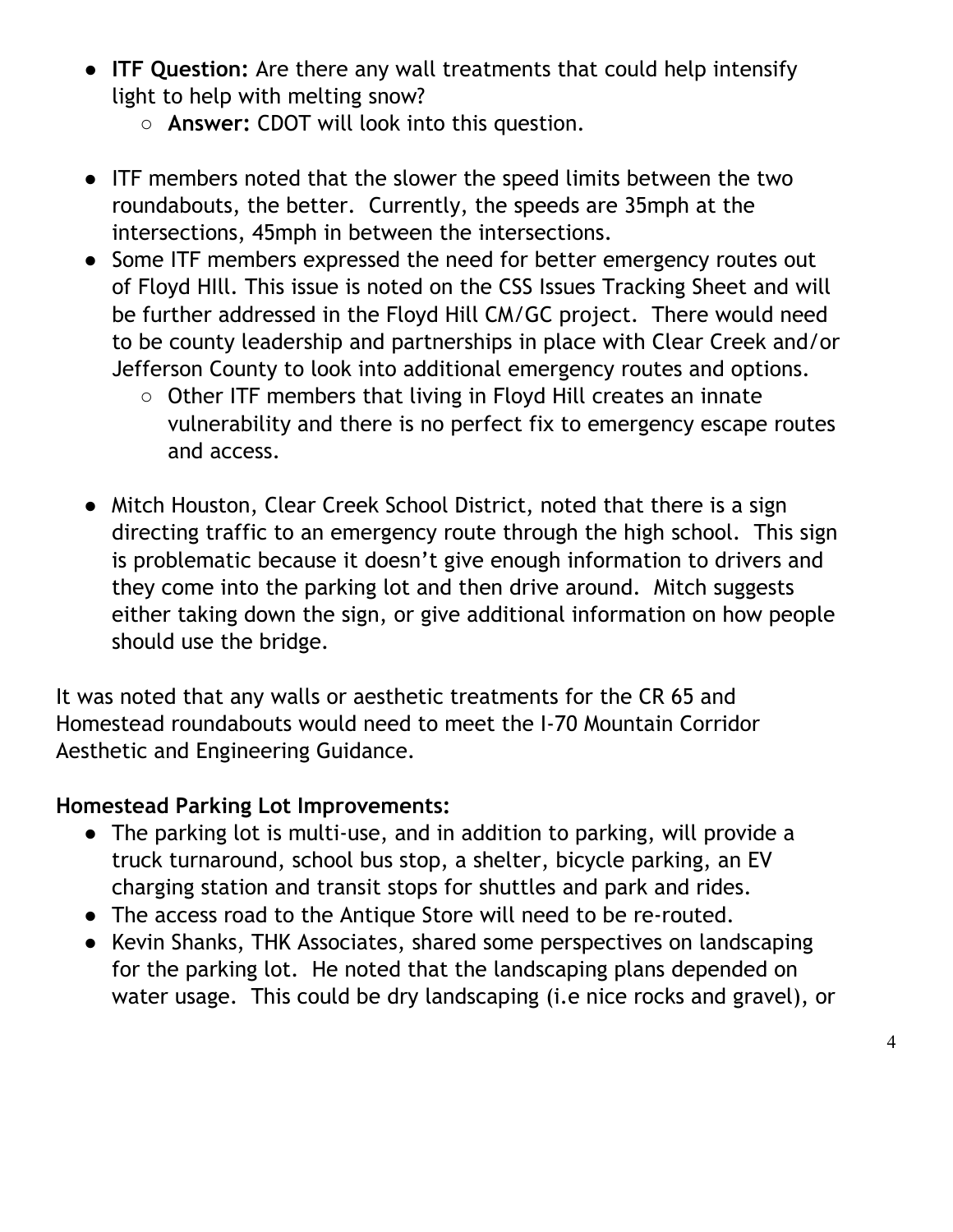- **ITF Question:** Are there any wall treatments that could help intensify light to help with melting snow?
	- **Answer:** CDOT will look into this question.
- ITF members noted that the slower the speed limits between the two roundabouts, the better. Currently, the speeds are 35mph at the intersections, 45mph in between the intersections.
- Some ITF members expressed the need for better emergency routes out of Floyd HIll. This issue is noted on the CSS Issues Tracking Sheet and will be further addressed in the Floyd Hill CM/GC project. There would need to be county leadership and partnerships in place with Clear Creek and/or Jefferson County to look into additional emergency routes and options.
	- Other ITF members that living in Floyd Hill creates an innate vulnerability and there is no perfect fix to emergency escape routes and access.
- Mitch Houston, Clear Creek School District, noted that there is a sign directing traffic to an emergency route through the high school. This sign is problematic because it doesn't give enough information to drivers and they come into the parking lot and then drive around. Mitch suggests either taking down the sign, or give additional information on how people should use the bridge.

It was noted that any walls or aesthetic treatments for the CR 65 and Homestead roundabouts would need to meet the I-70 Mountain Corridor Aesthetic and Engineering Guidance.

## **Homestead Parking Lot Improvements:**

- The parking lot is multi-use, and in addition to parking, will provide a truck turnaround, school bus stop, a shelter, bicycle parking, an EV charging station and transit stops for shuttles and park and rides.
- The access road to the Antique Store will need to be re-routed.
- Kevin Shanks, THK Associates, shared some perspectives on landscaping for the parking lot. He noted that the landscaping plans depended on water usage. This could be dry landscaping (i.e nice rocks and gravel), or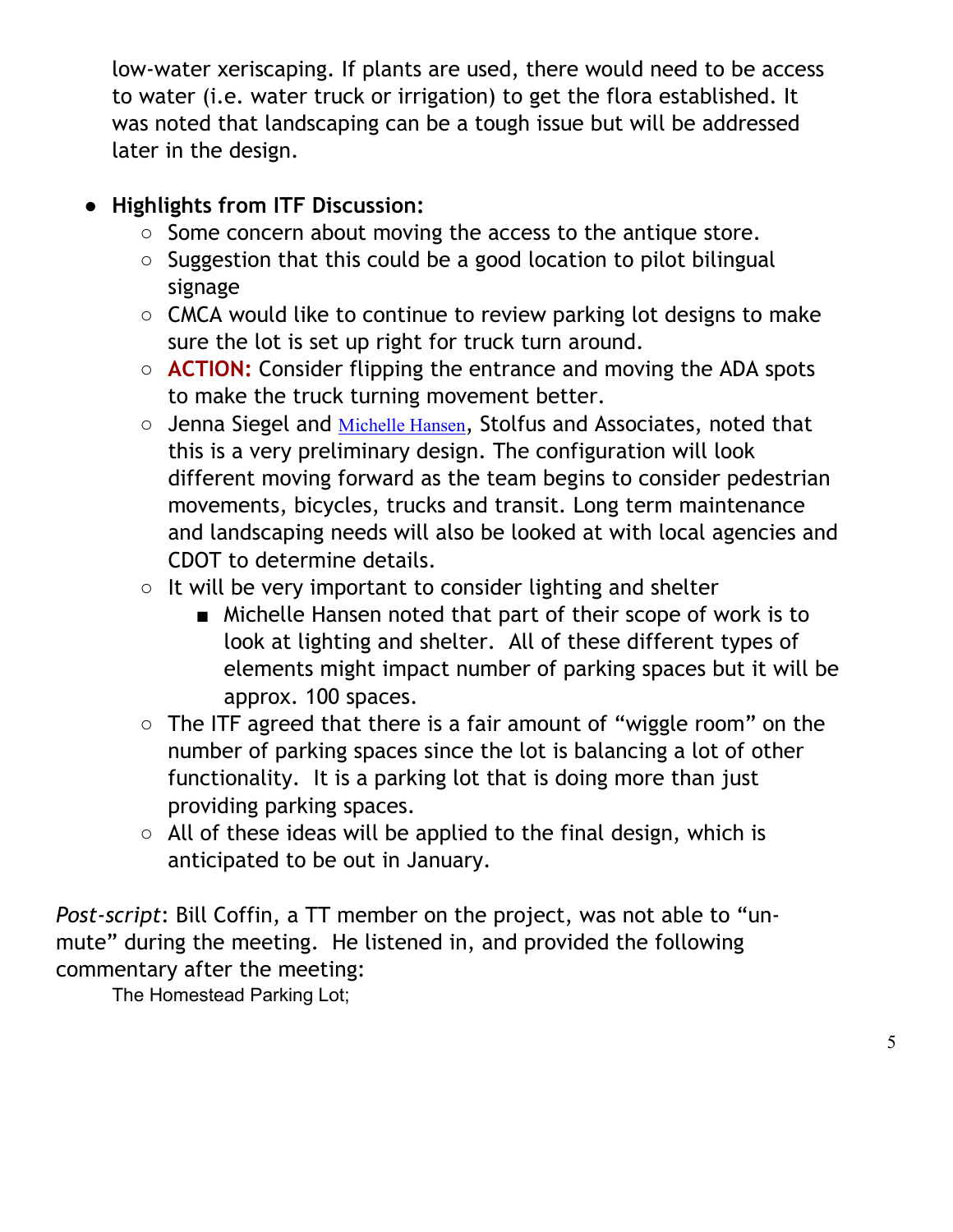low-water xeriscaping. If plants are used, there would need to be access to water (i.e. water truck or irrigation) to get the flora established. It was noted that landscaping can be a tough issue but will be addressed later in the design.

# ● **Highlights from ITF Discussion:**

- Some concern about moving the access to the antique store.
- Suggestion that this could be a good location to pilot bilingual signage
- CMCA would like to continue to review parking lot designs to make sure the lot is set up right for truck turn around.
- **ACTION:** Consider flipping the entrance and moving the ADA spots to make the truck turning movement better.
- Jenna Siegel and [Michelle Hansen](mailto:Michelle@stolfusandassociates.com), Stolfus and Associates, noted that this is a very preliminary design. The configuration will look different moving forward as the team begins to consider pedestrian movements, bicycles, trucks and transit. Long term maintenance and landscaping needs will also be looked at with local agencies and CDOT to determine details.
- It will be very important to consider lighting and shelter
	- Michelle Hansen noted that part of their scope of work is to look at lighting and shelter. All of these different types of elements might impact number of parking spaces but it will be approx. 100 spaces.
- The ITF agreed that there is a fair amount of "wiggle room" on the number of parking spaces since the lot is balancing a lot of other functionality. It is a parking lot that is doing more than just providing parking spaces.
- All of these ideas will be applied to the final design, which is anticipated to be out in January.

*Post-script*: Bill Coffin, a TT member on the project, was not able to "unmute" during the meeting. He listened in, and provided the following commentary after the meeting:

The Homestead Parking Lot;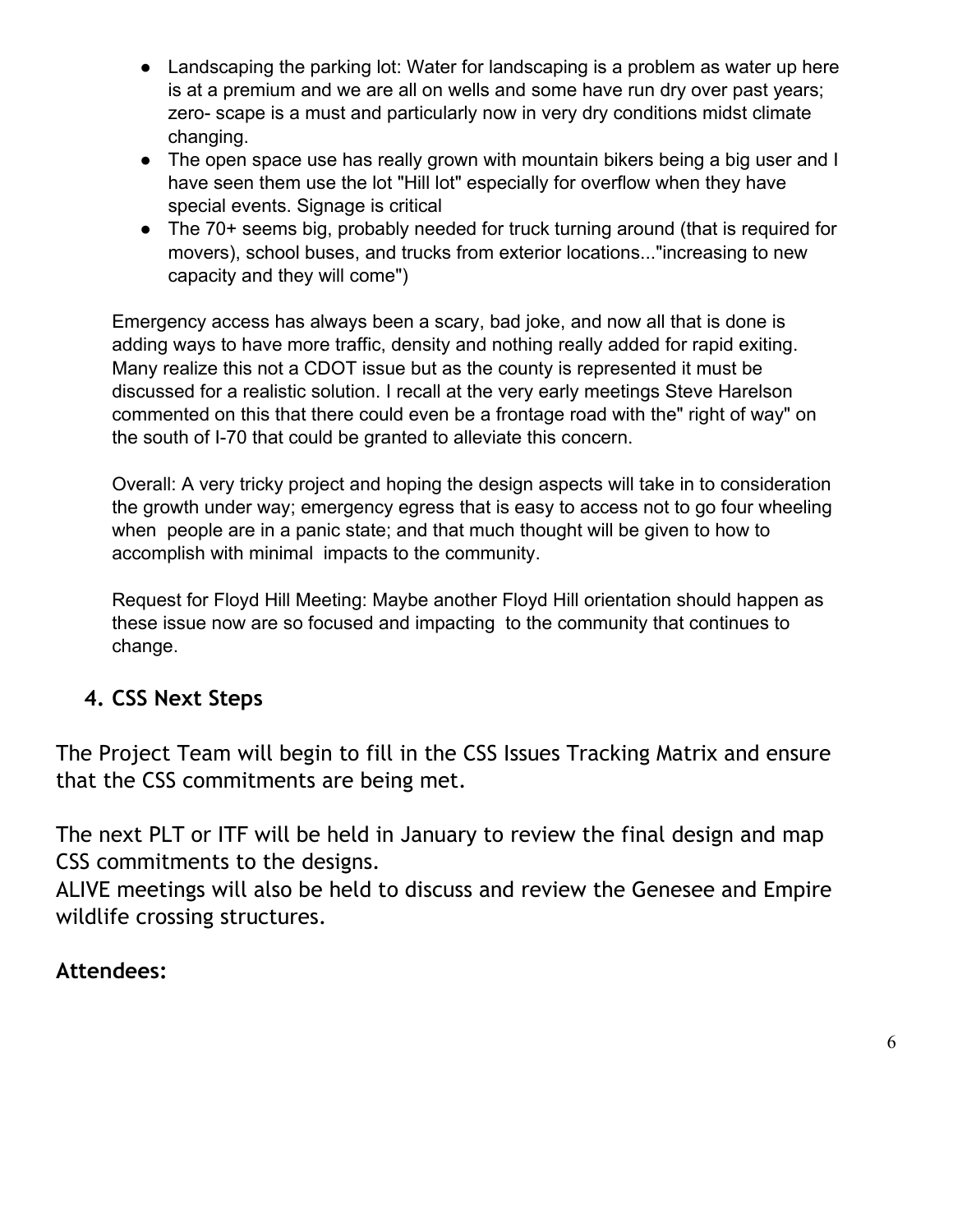- Landscaping the parking lot: Water for landscaping is a problem as water up here is at a premium and we are all on wells and some have run dry over past years; zero- scape is a must and particularly now in very dry conditions midst climate changing.
- The open space use has really grown with mountain bikers being a big user and I have seen them use the lot "Hill lot" especially for overflow when they have special events. Signage is critical
- The 70+ seems big, probably needed for truck turning around (that is required for movers), school buses, and trucks from exterior locations..."increasing to new capacity and they will come")

Emergency access has always been a scary, bad joke, and now all that is done is adding ways to have more traffic, density and nothing really added for rapid exiting. Many realize this not a CDOT issue but as the county is represented it must be discussed for a realistic solution. I recall at the very early meetings Steve Harelson commented on this that there could even be a frontage road with the" right of way" on the south of I-70 that could be granted to alleviate this concern.

Overall: A very tricky project and hoping the design aspects will take in to consideration the growth under way; emergency egress that is easy to access not to go four wheeling when people are in a panic state; and that much thought will be given to how to accomplish with minimal impacts to the community.

Request for Floyd Hill Meeting: Maybe another Floyd Hill orientation should happen as these issue now are so focused and impacting to the community that continues to change.

## **4. CSS Next Steps**

The Project Team will begin to fill in the CSS Issues Tracking Matrix and ensure that the CSS commitments are being met.

The next PLT or ITF will be held in January to review the final design and map CSS commitments to the designs.

ALIVE meetings will also be held to discuss and review the Genesee and Empire wildlife crossing structures.

#### **Attendees:**